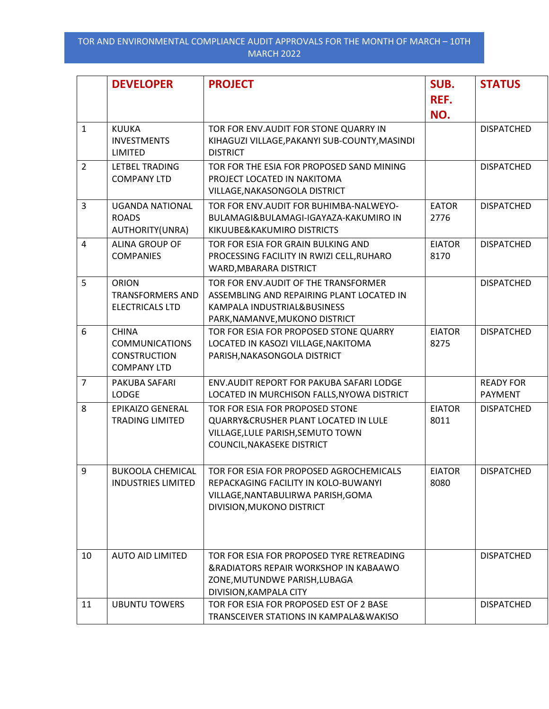|                | <b>DEVELOPER</b>                                                                   | <b>PROJECT</b>                                                                                                                                     | SUB.<br>REF.<br>NO.   | <b>STATUS</b>               |
|----------------|------------------------------------------------------------------------------------|----------------------------------------------------------------------------------------------------------------------------------------------------|-----------------------|-----------------------------|
| $\mathbf{1}$   | <b>KUUKA</b><br><b>INVESTMENTS</b><br>LIMITED                                      | TOR FOR ENV. AUDIT FOR STONE QUARRY IN<br>KIHAGUZI VILLAGE, PAKANYI SUB-COUNTY, MASINDI<br><b>DISTRICT</b>                                         |                       | <b>DISPATCHED</b>           |
| $\overline{2}$ | LETBEL TRADING<br><b>COMPANY LTD</b>                                               | TOR FOR THE ESIA FOR PROPOSED SAND MINING<br>PROJECT LOCATED IN NAKITOMA<br>VILLAGE, NAKASONGOLA DISTRICT                                          |                       | <b>DISPATCHED</b>           |
| $\overline{3}$ | <b>UGANDA NATIONAL</b><br><b>ROADS</b><br>AUTHORITY(UNRA)                          | TOR FOR ENV.AUDIT FOR BUHIMBA-NALWEYO-<br>BULAMAGI&BULAMAGI-IGAYAZA-KAKUMIRO IN<br>KIKUUBE&KAKUMIRO DISTRICTS                                      | <b>EATOR</b><br>2776  | <b>DISPATCHED</b>           |
| $\overline{4}$ | ALINA GROUP OF<br><b>COMPANIES</b>                                                 | TOR FOR ESIA FOR GRAIN BULKING AND<br>PROCESSING FACILITY IN RWIZI CELL, RUHARO<br>WARD, MBARARA DISTRICT                                          | <b>EIATOR</b><br>8170 | <b>DISPATCHED</b>           |
| 5              | <b>ORION</b><br><b>TRANSFORMERS AND</b><br><b>ELECTRICALS LTD</b>                  | TOR FOR ENV.AUDIT OF THE TRANSFORMER<br>ASSEMBLING AND REPAIRING PLANT LOCATED IN<br>KAMPALA INDUSTRIAL&BUSINESS<br>PARK, NAMANVE, MUKONO DISTRICT |                       | <b>DISPATCHED</b>           |
| 6              | <b>CHINA</b><br><b>COMMUNICATIONS</b><br><b>CONSTRUCTION</b><br><b>COMPANY LTD</b> | TOR FOR ESIA FOR PROPOSED STONE QUARRY<br>LOCATED IN KASOZI VILLAGE, NAKITOMA<br>PARISH, NAKASONGOLA DISTRICT                                      | <b>EIATOR</b><br>8275 | <b>DISPATCHED</b>           |
| $\overline{7}$ | PAKUBA SAFARI<br><b>LODGE</b>                                                      | ENV.AUDIT REPORT FOR PAKUBA SAFARI LODGE<br>LOCATED IN MURCHISON FALLS, NYOWA DISTRICT                                                             |                       | <b>READY FOR</b><br>PAYMENT |
| 8              | <b>EPIKAIZO GENERAL</b><br><b>TRADING LIMITED</b>                                  | TOR FOR ESIA FOR PROPOSED STONE<br>QUARRY&CRUSHER PLANT LOCATED IN LULE<br>VILLAGE, LULE PARISH, SEMUTO TOWN<br>COUNCIL, NAKASEKE DISTRICT         | <b>EIATOR</b><br>8011 | <b>DISPATCHED</b>           |
| 9              | <b>BUKOOLA CHEMICAL</b><br><b>INDUSTRIES LIMITED</b>                               | TOR FOR ESIA FOR PROPOSED AGROCHEMICALS<br>REPACKAGING FACILITY IN KOLO-BUWANYI<br>VILLAGE, NANTABULIRWA PARISH, GOMA<br>DIVISION, MUKONO DISTRICT | <b>EIATOR</b><br>8080 | <b>DISPATCHED</b>           |
| 10             | <b>AUTO AID LIMITED</b>                                                            | TOR FOR ESIA FOR PROPOSED TYRE RETREADING<br>&RADIATORS REPAIR WORKSHOP IN KABAAWO<br>ZONE, MUTUNDWE PARISH, LUBAGA<br>DIVISION, KAMPALA CITY      |                       | <b>DISPATCHED</b>           |
| 11             | <b>UBUNTU TOWERS</b>                                                               | TOR FOR ESIA FOR PROPOSED EST OF 2 BASE<br>TRANSCEIVER STATIONS IN KAMPALA&WAKISO                                                                  |                       | <b>DISPATCHED</b>           |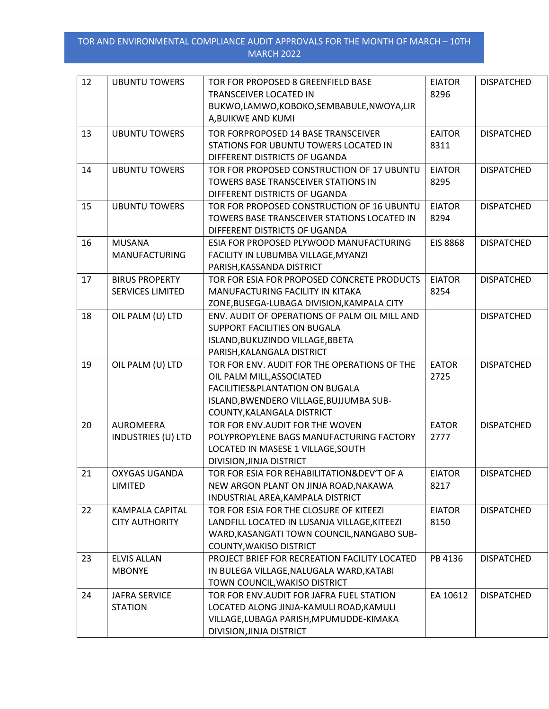| 12 | <b>UBUNTU TOWERS</b>                             | TOR FOR PROPOSED 8 GREENFIELD BASE<br>TRANSCEIVER LOCATED IN<br>BUKWO,LAMWO,KOBOKO,SEMBABULE,NWOYA,LIR<br>A, BUIKWE AND KUMI                                                          | <b>EIATOR</b><br>8296 | <b>DISPATCHED</b> |
|----|--------------------------------------------------|---------------------------------------------------------------------------------------------------------------------------------------------------------------------------------------|-----------------------|-------------------|
| 13 | <b>UBUNTU TOWERS</b>                             | TOR FORPROPOSED 14 BASE TRANSCEIVER<br>STATIONS FOR UBUNTU TOWERS LOCATED IN<br>DIFFERENT DISTRICTS OF UGANDA                                                                         | <b>EAITOR</b><br>8311 | <b>DISPATCHED</b> |
| 14 | <b>UBUNTU TOWERS</b>                             | TOR FOR PROPOSED CONSTRUCTION OF 17 UBUNTU<br>TOWERS BASE TRANSCEIVER STATIONS IN<br>DIFFERENT DISTRICTS OF UGANDA                                                                    | <b>EIATOR</b><br>8295 | <b>DISPATCHED</b> |
| 15 | <b>UBUNTU TOWERS</b>                             | TOR FOR PROPOSED CONSTRUCTION OF 16 UBUNTU<br>TOWERS BASE TRANSCEIVER STATIONS LOCATED IN<br>DIFFERENT DISTRICTS OF UGANDA                                                            | <b>EIATOR</b><br>8294 | <b>DISPATCHED</b> |
| 16 | <b>MUSANA</b><br>MANUFACTURING                   | ESIA FOR PROPOSED PLYWOOD MANUFACTURING<br>FACILITY IN LUBUMBA VILLAGE, MYANZI<br>PARISH, KASSANDA DISTRICT                                                                           | <b>EIS 8868</b>       | <b>DISPATCHED</b> |
| 17 | <b>BIRUS PROPERTY</b><br><b>SERVICES LIMITED</b> | TOR FOR ESIA FOR PROPOSED CONCRETE PRODUCTS<br>MANUFACTURING FACILITY IN KITAKA<br>ZONE, BUSEGA-LUBAGA DIVISION, KAMPALA CITY                                                         | <b>EIATOR</b><br>8254 | <b>DISPATCHED</b> |
| 18 | OIL PALM (U) LTD                                 | ENV. AUDIT OF OPERATIONS OF PALM OIL MILL AND<br>SUPPORT FACILITIES ON BUGALA<br>ISLAND, BUKUZINDO VILLAGE, BBETA<br>PARISH, KALANGALA DISTRICT                                       |                       | <b>DISPATCHED</b> |
| 19 | OIL PALM (U) LTD                                 | TOR FOR ENV. AUDIT FOR THE OPERATIONS OF THE<br>OIL PALM MILL, ASSOCIATED<br>FACILITIES&PLANTATION ON BUGALA<br>ISLAND, BWENDERO VILLAGE, BUJJUMBA SUB-<br>COUNTY, KALANGALA DISTRICT | <b>EATOR</b><br>2725  | <b>DISPATCHED</b> |
| 20 | <b>AUROMEERA</b><br><b>INDUSTRIES (U) LTD</b>    | TOR FOR ENV.AUDIT FOR THE WOVEN<br>POLYPROPYLENE BAGS MANUFACTURING FACTORY<br>LOCATED IN MASESE 1 VILLAGE, SOUTH<br>DIVISION, JINJA DISTRICT                                         | <b>EATOR</b><br>2777  | <b>DISPATCHED</b> |
| 21 | <b>OXYGAS UGANDA</b><br>LIMITED                  | TOR FOR ESIA FOR REHABILITATION& DEV'T OF A<br>NEW ARGON PLANT ON JINJA ROAD, NAKAWA<br>INDUSTRIAL AREA, KAMPALA DISTRICT                                                             | <b>EIATOR</b><br>8217 | <b>DISPATCHED</b> |
| 22 | <b>KAMPALA CAPITAL</b><br><b>CITY AUTHORITY</b>  | TOR FOR ESIA FOR THE CLOSURE OF KITEEZI<br>LANDFILL LOCATED IN LUSANJA VILLAGE, KITEEZI<br>WARD, KASANGATI TOWN COUNCIL, NANGABO SUB-<br><b>COUNTY, WAKISO DISTRICT</b>               | <b>EIATOR</b><br>8150 | <b>DISPATCHED</b> |
| 23 | <b>ELVIS ALLAN</b><br><b>MBONYE</b>              | PROJECT BRIEF FOR RECREATION FACILITY LOCATED<br>IN BULEGA VILLAGE, NALUGALA WARD, KATABI<br>TOWN COUNCIL, WAKISO DISTRICT                                                            | PB 4136               | <b>DISPATCHED</b> |
| 24 | <b>JAFRA SERVICE</b><br><b>STATION</b>           | TOR FOR ENV. AUDIT FOR JAFRA FUEL STATION<br>LOCATED ALONG JINJA-KAMULI ROAD, KAMULI<br>VILLAGE, LUBAGA PARISH, MPUMUDDE-KIMAKA<br>DIVISION, JINJA DISTRICT                           | EA 10612              | <b>DISPATCHED</b> |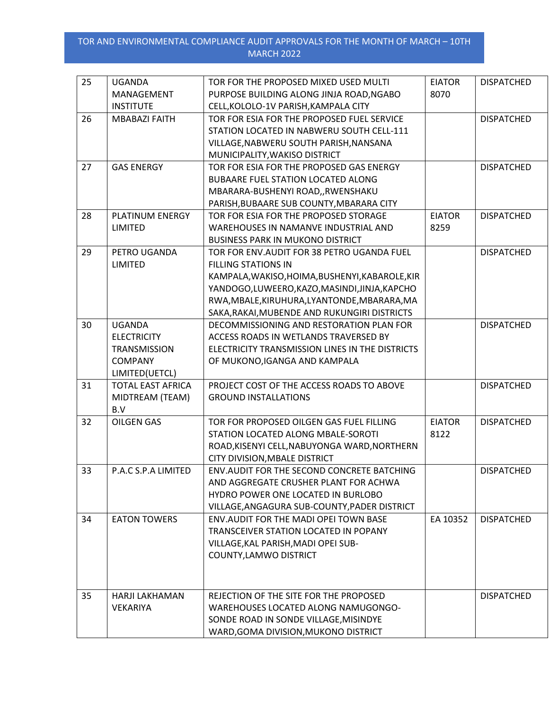| 25 | <b>UGANDA</b>                              | TOR FOR THE PROPOSED MIXED USED MULTI           | <b>EIATOR</b> | <b>DISPATCHED</b> |
|----|--------------------------------------------|-------------------------------------------------|---------------|-------------------|
|    | MANAGEMENT                                 | PURPOSE BUILDING ALONG JINJA ROAD, NGABO        | 8070          |                   |
|    | <b>INSTITUTE</b>                           | CELL, KOLOLO-1V PARISH, KAMPALA CITY            |               |                   |
| 26 | <b>MBABAZI FAITH</b>                       | TOR FOR ESIA FOR THE PROPOSED FUEL SERVICE      |               | <b>DISPATCHED</b> |
|    |                                            | STATION LOCATED IN NABWERU SOUTH CELL-111       |               |                   |
|    |                                            | VILLAGE, NABWERU SOUTH PARISH, NANSANA          |               |                   |
|    |                                            | MUNICIPALITY, WAKISO DISTRICT                   |               |                   |
| 27 | <b>GAS ENERGY</b>                          | TOR FOR ESIA FOR THE PROPOSED GAS ENERGY        |               | <b>DISPATCHED</b> |
|    |                                            | <b>BUBAARE FUEL STATION LOCATED ALONG</b>       |               |                   |
|    |                                            | MBARARA-BUSHENYI ROAD,, RWENSHAKU               |               |                   |
|    |                                            | PARISH, BUBAARE SUB COUNTY, MBARARA CITY        |               |                   |
| 28 | PLATINUM ENERGY                            | TOR FOR ESIA FOR THE PROPOSED STORAGE           | <b>EIATOR</b> | <b>DISPATCHED</b> |
|    | LIMITED                                    | WAREHOUSES IN NAMANVE INDUSTRIAL AND            | 8259          |                   |
|    |                                            | <b>BUSINESS PARK IN MUKONO DISTRICT</b>         |               |                   |
| 29 | PETRO UGANDA                               | TOR FOR ENV.AUDIT FOR 38 PETRO UGANDA FUEL      |               | <b>DISPATCHED</b> |
|    | <b>LIMITED</b>                             | <b>FILLING STATIONS IN</b>                      |               |                   |
|    |                                            | KAMPALA, WAKISO, HOIMA, BUSHENYI, KABAROLE, KIR |               |                   |
|    |                                            | YANDOGO,LUWEERO,KAZO,MASINDI,JINJA,KAPCHO       |               |                   |
|    |                                            | RWA, MBALE, KIRUHURA, LYANTONDE, MBARARA, MA    |               |                   |
|    |                                            | SAKA, RAKAI, MUBENDE AND RUKUNGIRI DISTRICTS    |               |                   |
| 30 | <b>UGANDA</b>                              | DECOMMISSIONING AND RESTORATION PLAN FOR        |               | <b>DISPATCHED</b> |
|    | <b>ELECTRICITY</b>                         | ACCESS ROADS IN WETLANDS TRAVERSED BY           |               |                   |
|    | <b>TRANSMISSION</b><br><b>COMPANY</b>      | ELECTRICITY TRANSMISSION LINES IN THE DISTRICTS |               |                   |
|    |                                            | OF MUKONO, IGANGA AND KAMPALA                   |               |                   |
| 31 | LIMITED(UETCL)<br><b>TOTAL EAST AFRICA</b> | PROJECT COST OF THE ACCESS ROADS TO ABOVE       |               | <b>DISPATCHED</b> |
|    | MIDTREAM (TEAM)                            | <b>GROUND INSTALLATIONS</b>                     |               |                   |
|    | B.V                                        |                                                 |               |                   |
| 32 | <b>OILGEN GAS</b>                          | TOR FOR PROPOSED OILGEN GAS FUEL FILLING        | <b>EIATOR</b> | <b>DISPATCHED</b> |
|    |                                            | STATION LOCATED ALONG MBALE-SOROTI              | 8122          |                   |
|    |                                            | ROAD, KISENYI CELL, NABUYONGA WARD, NORTHERN    |               |                   |
|    |                                            | CITY DIVISION, MBALE DISTRICT                   |               |                   |
| 33 | P.A.C S.P.A LIMITED                        | ENV.AUDIT FOR THE SECOND CONCRETE BATCHING      |               | <b>DISPATCHED</b> |
|    |                                            | AND AGGREGATE CRUSHER PLANT FOR ACHWA           |               |                   |
|    |                                            | HYDRO POWER ONE LOCATED IN BURLOBO              |               |                   |
|    |                                            | VILLAGE, ANGAGURA SUB-COUNTY, PADER DISTRICT    |               |                   |
| 34 | <b>EATON TOWERS</b>                        | ENV. AUDIT FOR THE MADI OPEI TOWN BASE          | EA 10352      | <b>DISPATCHED</b> |
|    |                                            | <b>TRANSCEIVER STATION LOCATED IN POPANY</b>    |               |                   |
|    |                                            | VILLAGE, KAL PARISH, MADI OPEI SUB-             |               |                   |
|    |                                            | COUNTY, LAMWO DISTRICT                          |               |                   |
|    |                                            |                                                 |               |                   |
| 35 | HARJI LAKHAMAN                             | REJECTION OF THE SITE FOR THE PROPOSED          |               | <b>DISPATCHED</b> |
|    | <b>VEKARIYA</b>                            | WAREHOUSES LOCATED ALONG NAMUGONGO-             |               |                   |
|    |                                            | SONDE ROAD IN SONDE VILLAGE, MISINDYE           |               |                   |
|    |                                            | WARD, GOMA DIVISION, MUKONO DISTRICT            |               |                   |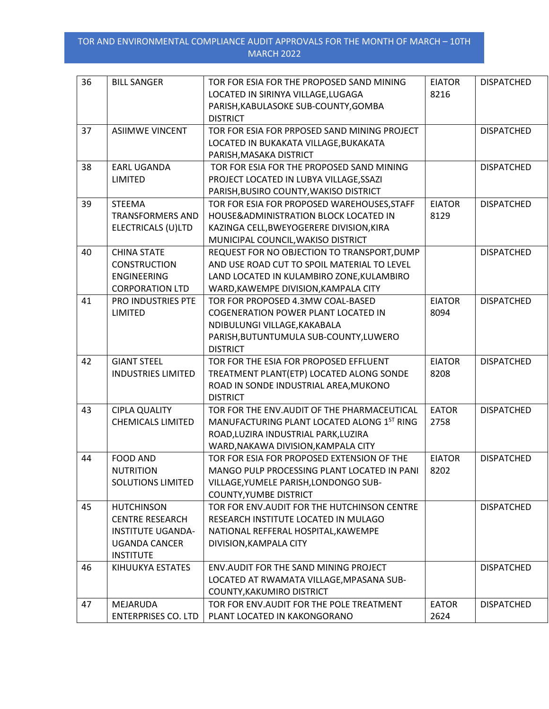| 36 | <b>BILL SANGER</b>                                                                                                  | TOR FOR ESIA FOR THE PROPOSED SAND MINING<br>LOCATED IN SIRINYA VILLAGE, LUGAGA<br>PARISH, KABULASOKE SUB-COUNTY, GOMBA<br><b>DISTRICT</b>                                      | <b>EIATOR</b><br>8216 | <b>DISPATCHED</b> |
|----|---------------------------------------------------------------------------------------------------------------------|---------------------------------------------------------------------------------------------------------------------------------------------------------------------------------|-----------------------|-------------------|
| 37 | <b>ASIIMWE VINCENT</b>                                                                                              | TOR FOR ESIA FOR PRPOSED SAND MINING PROJECT<br>LOCATED IN BUKAKATA VILLAGE, BUKAKATA<br>PARISH, MASAKA DISTRICT                                                                |                       | <b>DISPATCHED</b> |
| 38 | <b>EARL UGANDA</b><br>LIMITED                                                                                       | TOR FOR ESIA FOR THE PROPOSED SAND MINING<br>PROJECT LOCATED IN LUBYA VILLAGE, SSAZI<br>PARISH, BUSIRO COUNTY, WAKISO DISTRICT                                                  |                       | <b>DISPATCHED</b> |
| 39 | <b>STEEMA</b><br><b>TRANSFORMERS AND</b><br>ELECTRICALS (U)LTD                                                      | TOR FOR ESIA FOR PROPOSED WAREHOUSES, STAFF<br>HOUSE&ADMINISTRATION BLOCK LOCATED IN<br>KAZINGA CELL, BWEYOGERERE DIVISION, KIRA<br>MUNICIPAL COUNCIL, WAKISO DISTRICT          | <b>EIATOR</b><br>8129 | <b>DISPATCHED</b> |
| 40 | <b>CHINA STATE</b><br><b>CONSTRUCTION</b><br><b>ENGINEERING</b><br><b>CORPORATION LTD</b>                           | REQUEST FOR NO OBJECTION TO TRANSPORT, DUMP<br>AND USE ROAD CUT TO SPOIL MATERIAL TO LEVEL<br>LAND LOCATED IN KULAMBIRO ZONE, KULAMBIRO<br>WARD, KAWEMPE DIVISION, KAMPALA CITY |                       | <b>DISPATCHED</b> |
| 41 | PRO INDUSTRIES PTE<br>LIMITED                                                                                       | TOR FOR PROPOSED 4.3MW COAL-BASED<br><b>COGENERATION POWER PLANT LOCATED IN</b><br>NDIBULUNGI VILLAGE, KAKABALA<br>PARISH, BUTUNTUMULA SUB-COUNTY, LUWERO<br><b>DISTRICT</b>    | <b>EIATOR</b><br>8094 | <b>DISPATCHED</b> |
| 42 | <b>GIANT STEEL</b><br><b>INDUSTRIES LIMITED</b>                                                                     | TOR FOR THE ESIA FOR PROPOSED EFFLUENT<br>TREATMENT PLANT(ETP) LOCATED ALONG SONDE<br>ROAD IN SONDE INDUSTRIAL AREA, MUKONO<br><b>DISTRICT</b>                                  | <b>EIATOR</b><br>8208 | <b>DISPATCHED</b> |
| 43 | <b>CIPLA QUALITY</b><br><b>CHEMICALS LIMITED</b>                                                                    | TOR FOR THE ENV.AUDIT OF THE PHARMACEUTICAL<br>MANUFACTURING PLANT LOCATED ALONG 1ST RING<br>ROAD, LUZIRA INDUSTRIAL PARK, LUZIRA<br>WARD, NAKAWA DIVISION, KAMPALA CITY        | <b>EATOR</b><br>2758  | <b>DISPATCHED</b> |
| 44 | <b>FOOD AND</b><br><b>NUTRITION</b><br><b>SOLUTIONS LIMITED</b>                                                     | TOR FOR ESIA FOR PROPOSED EXTENSION OF THE<br>MANGO PULP PROCESSING PLANT LOCATED IN PANI<br>VILLAGE, YUMELE PARISH, LONDONGO SUB-<br><b>COUNTY, YUMBE DISTRICT</b>             | <b>EIATOR</b><br>8202 | <b>DISPATCHED</b> |
| 45 | <b>HUTCHINSON</b><br><b>CENTRE RESEARCH</b><br><b>INSTITUTE UGANDA-</b><br><b>UGANDA CANCER</b><br><b>INSTITUTE</b> | TOR FOR ENV. AUDIT FOR THE HUTCHINSON CENTRE<br>RESEARCH INSTITUTE LOCATED IN MULAGO<br>NATIONAL REFFERAL HOSPITAL, KAWEMPE<br>DIVISION, KAMPALA CITY                           |                       | <b>DISPATCHED</b> |
| 46 | KIHUUKYA ESTATES                                                                                                    | ENV.AUDIT FOR THE SAND MINING PROJECT<br>LOCATED AT RWAMATA VILLAGE, MPASANA SUB-<br>COUNTY, KAKUMIRO DISTRICT                                                                  |                       | <b>DISPATCHED</b> |
| 47 | MEJARUDA<br><b>ENTERPRISES CO. LTD</b>                                                                              | TOR FOR ENV. AUDIT FOR THE POLE TREATMENT<br>PLANT LOCATED IN KAKONGORANO                                                                                                       | <b>EATOR</b><br>2624  | <b>DISPATCHED</b> |